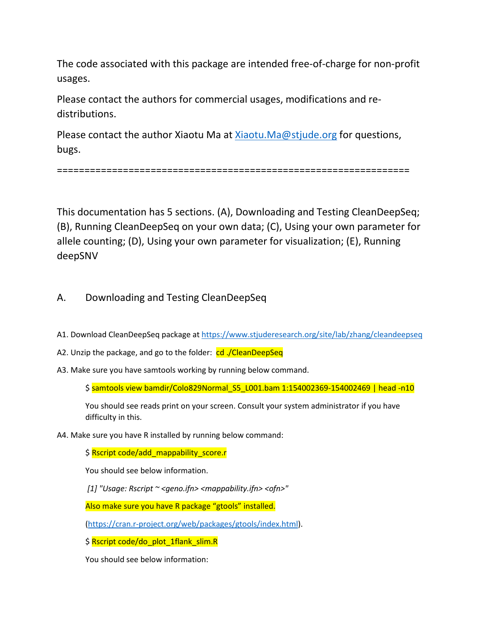The code associated with this package are intended free-of-charge for non-profit usages.

Please contact the authors for commercial usages, modifications and redistributions.

Please contact the author Xiaotu Ma at [Xiaotu.Ma@stjude.org](mailto:Xiaotu.Ma@stjude.org) for questions, bugs.

================================================================

This documentation has 5 sections. (A), Downloading and Testing CleanDeepSeq; (B), Running CleanDeepSeq on your own data; (C), Using your own parameter for allele counting; (D), Using your own parameter for visualization; (E), Running deepSNV

## A. Downloading and Testing CleanDeepSeq

- A1. Download CleanDeepSeq package at<https://www.stjuderesearch.org/site/lab/zhang/cleandeepseq>
- A2. Unzip the package, and go to the folder: cd ./CleanDeepSeq
- A3. Make sure you have samtools working by running below command.

\$ samtools view bamdir/Colo829Normal\_S5\_L001.bam 1:154002369-154002469 | head -n10

You should see reads print on your screen. Consult your system administrator if you have difficulty in this.

A4. Make sure you have R installed by running below command:

\$ Rscript code/add\_mappability\_score.r

You should see below information.

*[1] "Usage: Rscript ~ <geno.ifn> <mappability.ifn> <ofn>"*

Also make sure you have R package "gtools" installed.

[\(https://cran.r-project.org/web/packages/gtools/index.html\)](https://cran.r-project.org/web/packages/gtools/index.html).

\$ Rscript code/do\_plot\_1flank\_slim.R

You should see below information: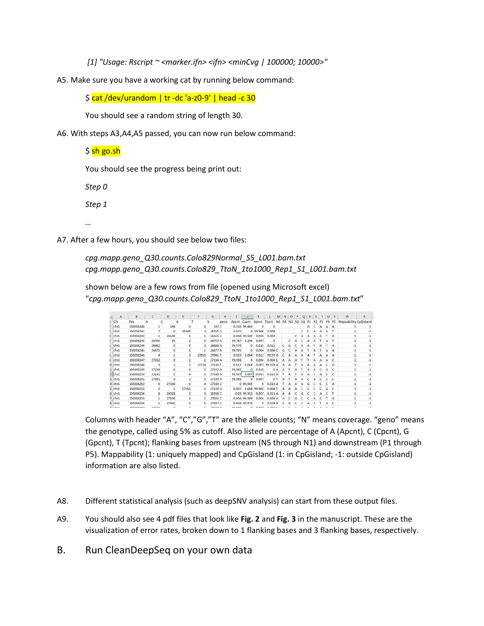*[1] "Usage: Rscript ~ <marker.ifn> <ifn> <minCvg | 100000; 10000>"*

A5. Make sure you have a working cat by running below command:

\$ cat /dev/urandom | tr -dc 'a-z0-9' | head -c 30

You should see a random string of length 30.

A6. With steps A3,A4,A5 passed, you can now run below command:

\$ sh go.sh

You should see the progress being print out:

*Step 0*

*Step 1*

*…*

A7. After a few hours, you should see below two files:

*cpg.mapp.geno\_Q30.counts.Colo829Normal\_S5\_L001.bam.txt cpg.mapp.geno\_Q30.counts.Colo829\_TtoN\_1to1000\_Rep1\_S1\_L001.bam.txt*

shown below are a few rows from file (opened using Microsoft excel) "*cpg.mapp.geno\_Q30.counts.Colo829\_TtoN\_1to1000\_Rep1\_S1\_L001.bam.txt*"

| A                  | B               |               |    | D          | Ε     |       | G               | H    |                 |              | ĸ                              |                                           |    | M <sub>N</sub> | $\circ$ | $-$ P | $\Omega$ | R | $-S$ | T | u | v            | W                     | x    |
|--------------------|-----------------|---------------|----|------------|-------|-------|-----------------|------|-----------------|--------------|--------------------------------|-------------------------------------------|----|----------------|---------|-------|----------|---|------|---|---|--------------|-----------------------|------|
| Chr                | Pos             |               |    |            | G     |       | N               | geno | Apent Cpent     |              |                                | Gpcnt Tpcnt N5 N4 N3 N2 N1 P1 P2 P3 P4 P5 |    |                |         |       |          |   |      |   |   |              | Mappability CpGIsland |      |
| chr1               | 150208240       |               |    | 186        |       | o     | 187 C           |      |                 | 0.535 99.465 |                                | n                                         |    |                |         |       |          | G |      |   | А | $\mathbf{A}$ |                       |      |
| chr1               | 150208241       |               |    | $\Omega$   | 26346 |       | 26355 G         |      | 0.027           |              | 0 99.966                       | 0.008                                     |    |                |         |       |          |   |      |   | А |              |                       | -1   |
| chr1               | 150208242       |               |    | 26648      |       |       | 26651 C         |      |                 | 0.004 99.989 | 0.004                          | 0.004                                     |    |                |         |       | G        |   |      |   |   | $\Lambda$    |                       | $-1$ |
| chr1               | 150208243       | 26700         |    | 55         |       | o.    | 26757 A         |      | 99,787          | 0.206        | 0.007                          | ō                                         |    |                |         | G     |          | Α |      |   |   |              |                       |      |
| chr1               | 150208244       | 26861         |    | $\circ$    |       |       | 26868 A         |      | 99.974          |              | 0 0.015                        | 0.011                                     |    |                | G       |       |          |   |      |   |   | $\Lambda$    |                       |      |
| chr1               | 150208245       | 26875         |    | $^{\circ}$ |       |       | 26877 A         |      | 99.993          |              | 0.004                          | 0.004C                                    |    | G              |         |       |          |   |      |   |   | A            |                       | $-1$ |
| chr1               | 150208246       |               | 4  |            |       | 27033 | 27041 T         |      | 0.015           | 0.004        | 0.011                          | 99.97 G                                   |    |                |         |       |          |   |      |   |   | $\Lambda$    |                       | $-1$ |
| chr1               | 150208247       | 27152         |    | o          |       | 1     | 27154 A         |      | 99.993          | $^{\circ}$   | 0.004                          | 0.004C                                    |    |                |         |       |          |   |      |   |   |              |                       | -1   |
| $0$ chr1           | 150208248       |               |    |            |       | 27124 | 27130 T         |      | 0.011           | 0.004        |                                | 0.007 99.978 A                            |    | А              |         |       |          |   |      |   |   | G            |                       |      |
| $1$ chr $1$        | 150208249       | 27138         |    | n          |       | o     | 27143 A         |      | 99.982          | $\Omega$     | 0.018                          |                                           | 0A | а              |         |       |          |   |      |   | G | $\epsilon$   |                       | -1   |
| $2$ chr1           | 150208250       | 27135         |    |            |       |       | 27144 A         |      | 99.967          | 0.007        | 0.015                          | 0.011A                                    |    |                | Δ       |       |          |   |      |   |   |              |                       | $-1$ |
| $3$ chr $1$        | 150208251       | 27191         |    | n          |       | Ō.    | 27193 A         |      | 99.993          |              | 0.007                          | 0 <sub>1</sub>                            |    |                |         |       | Δ        |   | а    |   |   |              |                       |      |
| $4$ chr1           | 150208252       |               | o  | 27156      |       |       | 27160 C         |      |                 | 0.99.985     | $^{\circ}$                     | 0.015A                                    |    |                | А       |       |          | G |      |   |   | -A           |                       |      |
| $5$ chr1           | 150208253       |               |    |            | 27165 |       | 27169 G         |      | 0.007           | 0.004        | 99.985                         | 0.004 T                                   |    | Δ.             |         |       |          |   |      |   |   |              |                       | -1   |
| $6$ chr1           | 150208254       |               | g. | 26925      |       |       | 26938 C         |      |                 | 0.03 99.952  | 0.007                          | 0.011A                                    |    | s              | Δ       |       | G        |   |      |   |   |              |                       | -1   |
| $7$ chr1           | 150208255       |               |    | 27030      |       | 1     | 27033 C         |      |                 | 0.004 99.989 | 0.004                          | 0.004A                                    |    | А              |         | G     |          |   |      |   |   | <b>A</b>     |                       |      |
| 8 chr1             | 150208256       |               |    | 27041      |       |       | 27047 C         |      |                 | 0.004 99.978 | $\Omega$                       | 0.018A                                    |    |                | G       |       |          |   |      |   |   |              |                       |      |
| <b>COLLAGE AND</b> | <b>SEARANTH</b> | <b>DOM NO</b> |    | $\sim$     |       |       | <b>NOW HOLE</b> |      | <b>CAR GRAN</b> |              | <b>COLLEGE AND COLLEGE AND</b> | annum a                                   |    |                |         |       |          | . |      |   |   |              |                       |      |

Columns with header "A", "C","G","T" are the allele counts; "N" means coverage. "geno" means the genotype, called using 5% as cutoff. Also listed are percentage of A (Apcnt), C (Cpcnt), G (Gpcnt), T (Tpcnt); flanking bases from upstream (N5 through N1) and downstream (P1 through P5). Mappability (1: uniquely mapped) and CpGisland (1: in CpGisland; -1: outside CpGisland) information are also listed.

- A8. Different statistical analysis (such as deepSNV analysis) can start from these output files.
- A9. You should also see 4 pdf files that look like **Fig. 2** and **Fig. 3** in the manuscript. These are the visualization of error rates, broken down to 1 flanking bases and 3 flanking bases, respectively.
- B. Run CleanDeepSeq on your own data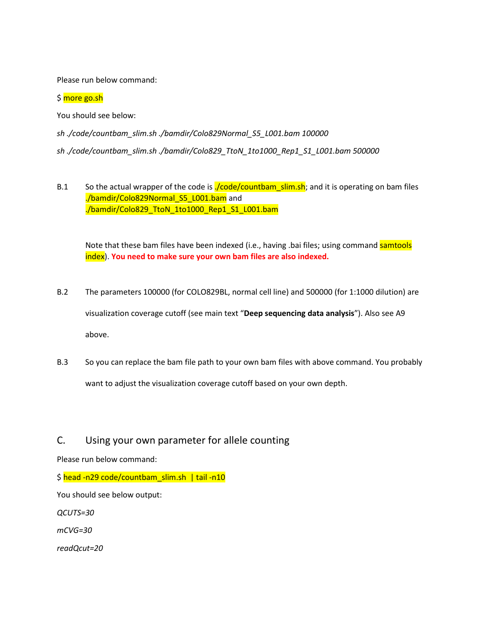Please run below command:

\$ more go.sh

You should see below:

*sh ./code/countbam\_slim.sh ./bamdir/Colo829Normal\_S5\_L001.bam 100000 sh ./code/countbam\_slim.sh ./bamdir/Colo829\_TtoN\_1to1000\_Rep1\_S1\_L001.bam 500000*

B.1 So the actual wrapper of the code is **./code/countbam\_slim.sh**; and it is operating on bam files ./bamdir/Colo829Normal\_S5\_L001.bam and ./bamdir/Colo829\_TtoN\_1to1000\_Rep1\_S1\_L001.bam

Note that these bam files have been indexed (i.e., having .bai files; using command samtools index). **You need to make sure your own bam files are also indexed.**

- B.2 The parameters 100000 (for COLO829BL, normal cell line) and 500000 (for 1:1000 dilution) are visualization coverage cutoff (see main text "**Deep sequencing data analysis**"). Also see A9 above.
- B.3 So you can replace the bam file path to your own bam files with above command. You probably want to adjust the visualization coverage cutoff based on your own depth.

## C. Using your own parameter for allele counting

Please run below command:

\$ head -n29 code/countbam\_slim.sh | tail -n10

You should see below output:

*QCUTS=30*

*mCVG=30*

*readQcut=20*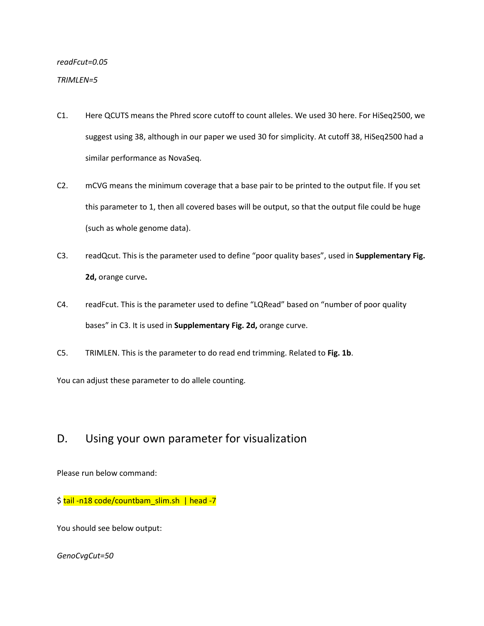# *readFcut=0.05*

#### *TRIMLEN=5*

- C1. Here QCUTS means the Phred score cutoff to count alleles. We used 30 here. For HiSeq2500, we suggest using 38, although in our paper we used 30 for simplicity. At cutoff 38, HiSeq2500 had a similar performance as NovaSeq.
- C2. mCVG means the minimum coverage that a base pair to be printed to the output file. If you set this parameter to 1, then all covered bases will be output, so that the output file could be huge (such as whole genome data).
- C3. readQcut. This is the parameter used to define "poor quality bases", used in **Supplementary Fig. 2d,** orange curve**.**
- C4. readFcut. This is the parameter used to define "LQRead" based on "number of poor quality bases" in C3. It is used in **Supplementary Fig. 2d,** orange curve.
- C5. TRIMLEN. This is the parameter to do read end trimming. Related to **Fig. 1b**.

You can adjust these parameter to do allele counting.

# D. Using your own parameter for visualization

Please run below command:

\$ tail -n18 code/countbam\_slim.sh | head -7

You should see below output:

*GenoCvgCut=50*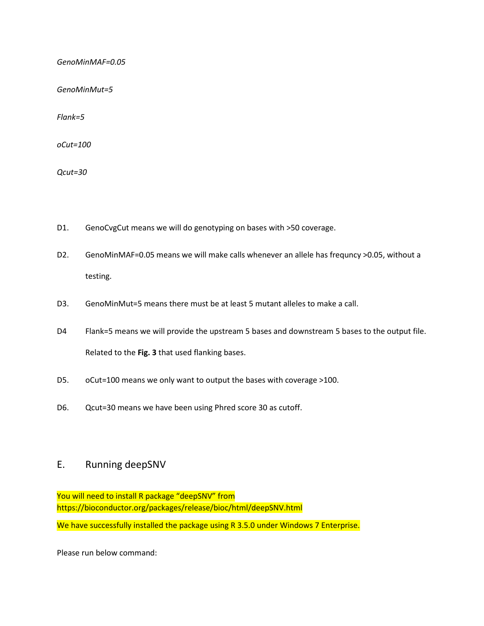*GenoMinMAF=0.05*

*GenoMinMut=5*

*Flank=5*

*oCut=100*

*Qcut=30*

- D1. GenoCvgCut means we will do genotyping on bases with >50 coverage.
- D2. GenoMinMAF=0.05 means we will make calls whenever an allele has frequncy >0.05, without a testing.
- D3. GenoMinMut=5 means there must be at least 5 mutant alleles to make a call.
- D4 Flank=5 means we will provide the upstream 5 bases and downstream 5 bases to the output file. Related to the **Fig. 3** that used flanking bases.
- D5. oCut=100 means we only want to output the bases with coverage >100.
- D6. Qcut=30 means we have been using Phred score 30 as cutoff.

### E. Running deepSNV

You will need to install R package "deepSNV" from https://bioconductor.org/packages/release/bioc/html/deepSNV.html

We have successfully installed the package using R 3.5.0 under Windows 7 Enterprise.

Please run below command: